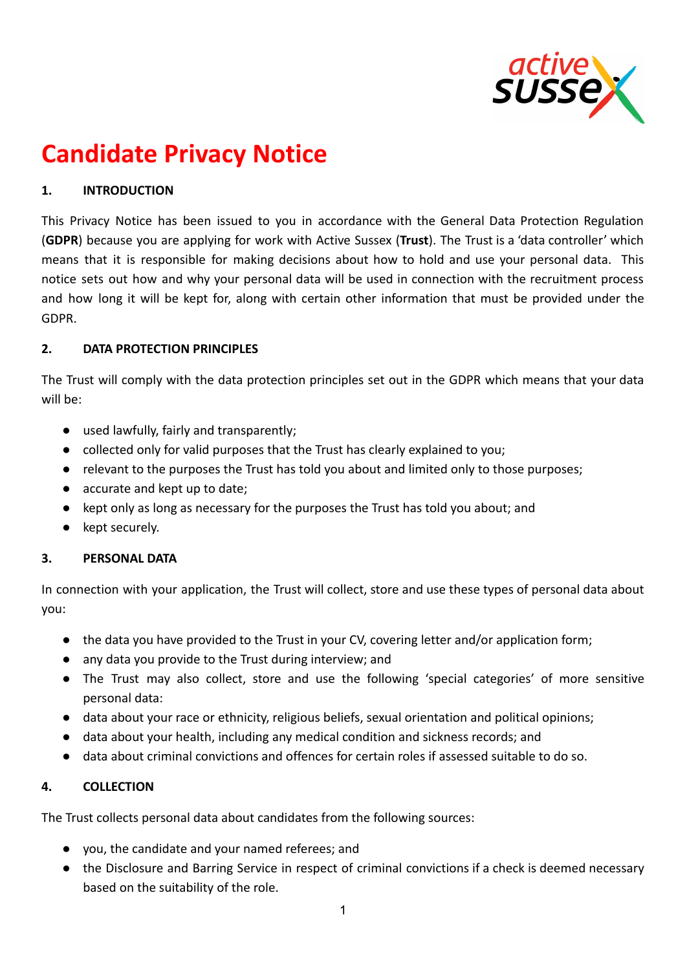

# **Candidate Privacy Notice**

# **1. INTRODUCTION**

This Privacy Notice has been issued to you in accordance with the General Data Protection Regulation (**GDPR**) because you are applying for work with Active Sussex (**Trust**). The Trust is a 'data controller' which means that it is responsible for making decisions about how to hold and use your personal data. This notice sets out how and why your personal data will be used in connection with the recruitment process and how long it will be kept for, along with certain other information that must be provided under the GDPR.

### **2. DATA PROTECTION PRINCIPLES**

The Trust will comply with the data protection principles set out in the GDPR which means that your data will be:

- used lawfully, fairly and transparently;
- collected only for valid purposes that the Trust has clearly explained to you;
- relevant to the purposes the Trust has told you about and limited only to those purposes;
- accurate and kept up to date;
- kept only as long as necessary for the purposes the Trust has told you about; and
- kept securely.

## **3. PERSONAL DATA**

In connection with your application, the Trust will collect, store and use these types of personal data about you:

- the data you have provided to the Trust in your CV, covering letter and/or application form;
- any data you provide to the Trust during interview; and
- The Trust may also collect, store and use the following 'special categories' of more sensitive personal data:
- data about your race or ethnicity, religious beliefs, sexual orientation and political opinions;
- data about your health, including any medical condition and sickness records; and
- data about criminal convictions and offences for certain roles if assessed suitable to do so.

#### **4. COLLECTION**

The Trust collects personal data about candidates from the following sources:

- you, the candidate and your named referees; and
- the Disclosure and Barring Service in respect of criminal convictions if a check is deemed necessary based on the suitability of the role.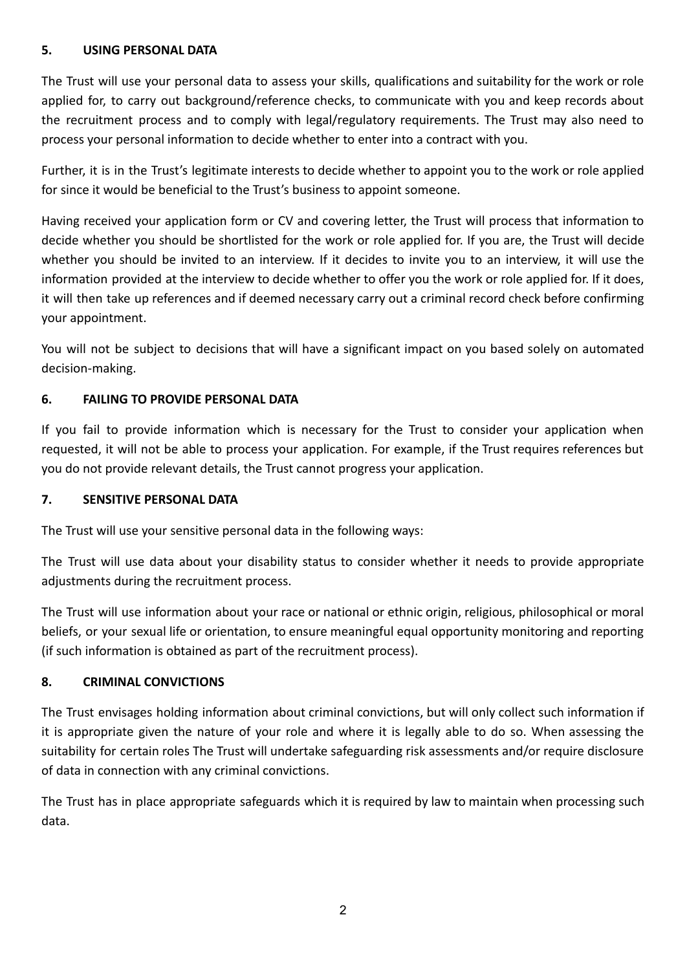## **5. USING PERSONAL DATA**

The Trust will use your personal data to assess your skills, qualifications and suitability for the work or role applied for, to carry out background/reference checks, to communicate with you and keep records about the recruitment process and to comply with legal/regulatory requirements. The Trust may also need to process your personal information to decide whether to enter into a contract with you.

Further, it is in the Trust's legitimate interests to decide whether to appoint you to the work or role applied for since it would be beneficial to the Trust's business to appoint someone.

Having received your application form or CV and covering letter, the Trust will process that information to decide whether you should be shortlisted for the work or role applied for. If you are, the Trust will decide whether you should be invited to an interview. If it decides to invite you to an interview, it will use the information provided at the interview to decide whether to offer you the work or role applied for. If it does, it will then take up references and if deemed necessary carry out a criminal record check before confirming your appointment.

You will not be subject to decisions that will have a significant impact on you based solely on automated decision-making.

## **6. FAILING TO PROVIDE PERSONAL DATA**

If you fail to provide information which is necessary for the Trust to consider your application when requested, it will not be able to process your application. For example, if the Trust requires references but you do not provide relevant details, the Trust cannot progress your application.

## **7. SENSITIVE PERSONAL DATA**

The Trust will use your sensitive personal data in the following ways:

The Trust will use data about your disability status to consider whether it needs to provide appropriate adjustments during the recruitment process.

The Trust will use information about your race or national or ethnic origin, religious, philosophical or moral beliefs, or your sexual life or orientation, to ensure meaningful equal opportunity monitoring and reporting (if such information is obtained as part of the recruitment process).

## **8. CRIMINAL CONVICTIONS**

The Trust envisages holding information about criminal convictions, but will only collect such information if it is appropriate given the nature of your role and where it is legally able to do so. When assessing the suitability for certain roles The Trust will undertake safeguarding risk assessments and/or require disclosure of data in connection with any criminal convictions.

The Trust has in place appropriate safeguards which it is required by law to maintain when processing such data.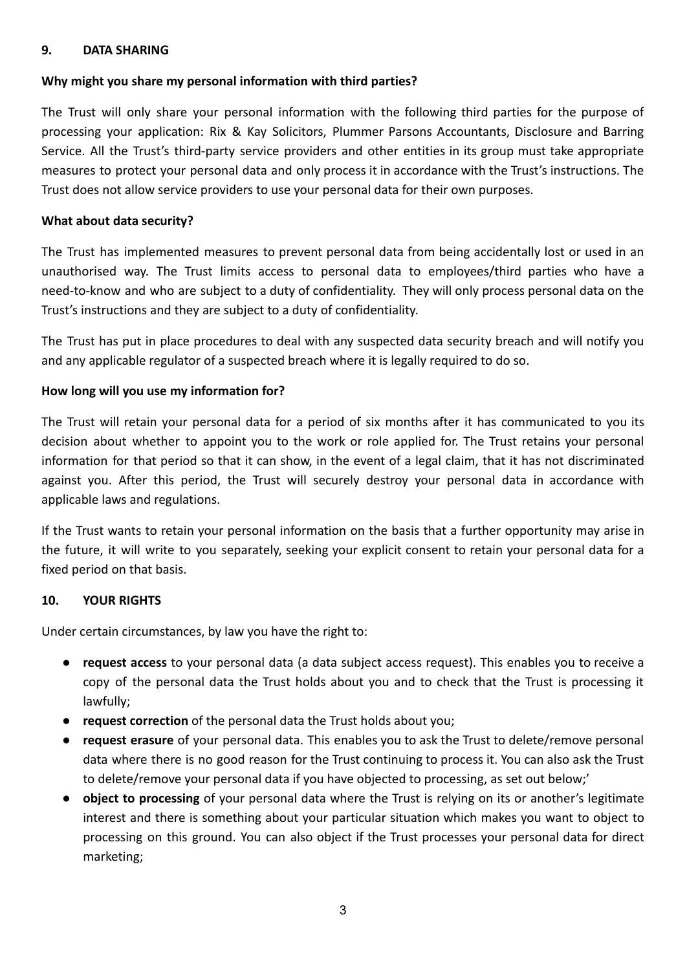#### **9. DATA SHARING**

### **Why might you share my personal information with third parties?**

The Trust will only share your personal information with the following third parties for the purpose of processing your application: Rix & Kay Solicitors, Plummer Parsons Accountants, Disclosure and Barring Service. All the Trust's third-party service providers and other entities in its group must take appropriate measures to protect your personal data and only process it in accordance with the Trust's instructions. The Trust does not allow service providers to use your personal data for their own purposes.

### **What about data security?**

The Trust has implemented measures to prevent personal data from being accidentally lost or used in an unauthorised way. The Trust limits access to personal data to employees/third parties who have a need-to-know and who are subject to a duty of confidentiality. They will only process personal data on the Trust's instructions and they are subject to a duty of confidentiality.

The Trust has put in place procedures to deal with any suspected data security breach and will notify you and any applicable regulator of a suspected breach where it is legally required to do so.

### **How long will you use my information for?**

The Trust will retain your personal data for a period of six months after it has communicated to you its decision about whether to appoint you to the work or role applied for. The Trust retains your personal information for that period so that it can show, in the event of a legal claim, that it has not discriminated against you. After this period, the Trust will securely destroy your personal data in accordance with applicable laws and regulations.

If the Trust wants to retain your personal information on the basis that a further opportunity may arise in the future, it will write to you separately, seeking your explicit consent to retain your personal data for a fixed period on that basis.

#### **10. YOUR RIGHTS**

Under certain circumstances, by law you have the right to:

- **request access** to your personal data (a data subject access request). This enables you to receive a copy of the personal data the Trust holds about you and to check that the Trust is processing it lawfully;
- **request correction** of the personal data the Trust holds about you;
- **request erasure** of your personal data. This enables you to ask the Trust to delete/remove personal data where there is no good reason for the Trust continuing to process it. You can also ask the Trust to delete/remove your personal data if you have objected to processing, as set out below;'
- **object to processing** of your personal data where the Trust is relying on its or another's legitimate interest and there is something about your particular situation which makes you want to object to processing on this ground. You can also object if the Trust processes your personal data for direct marketing;